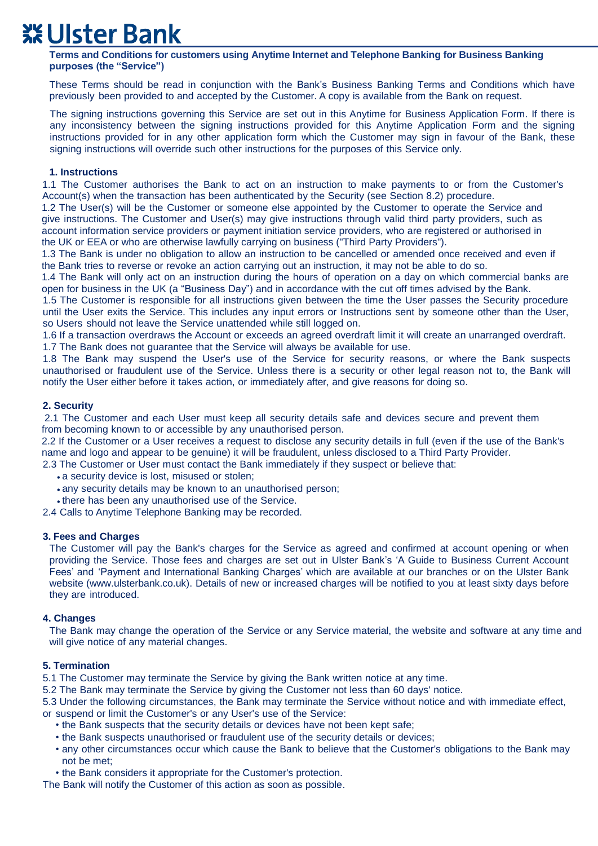# **XX Ulster Bank**

**Terms and Conditions for customers using Anytime Internet and Telephone Banking for Business Banking purposes (the "Service")** 

These Terms should be read in conjunction with the Bank's Business Banking Terms and Conditions which have previously been provided to and accepted by the Customer. A copy is available from the Bank on request.

The signing instructions governing this Service are set out in this Anytime for Business Application Form. If there is any inconsistency between the signing instructions provided for this Anytime Application Form and the signing instructions provided for in any other application form which the Customer may sign in favour of the Bank, these signing instructions will override such other instructions for the purposes of this Service only.

# **1. Instructions**

1.1 The Customer authorises the Bank to act on an instruction to make payments to or from the Customer's Account(s) when the transaction has been authenticated by the Security (see Section 8.2) procedure.

1.2 The User(s) will be the Customer or someone else appointed by the Customer to operate the Service and give instructions. The Customer and User(s) may give instructions through valid third party providers, such as account information service providers or payment initiation service providers, who are registered or authorised in the UK or EEA or who are otherwise lawfully carrying on business ("Third Party Providers").

1.3 The Bank is under no obligation to allow an instruction to be cancelled or amended once received and even if the Bank tries to reverse or revoke an action carrying out an instruction, it may not be able to do so.

1.4 The Bank will only act on an instruction during the hours of operation on a day on which commercial banks are open for business in the UK (a "Business Day") and in accordance with the cut off times advised by the Bank.

1.5 The Customer is responsible for all instructions given between the time the User passes the Security procedure until the User exits the Service. This includes any input errors or Instructions sent by someone other than the User, so Users should not leave the Service unattended while still logged on.

1.6 If a transaction overdraws the Account or exceeds an agreed overdraft limit it will create an unarranged overdraft. 1.7 The Bank does not guarantee that the Service will always be available for use.

1.8 The Bank may suspend the User's use of the Service for security reasons, or where the Bank suspects unauthorised or fraudulent use of the Service. Unless there is a security or other legal reason not to, the Bank will notify the User either before it takes action, or immediately after, and give reasons for doing so.

# **2. Security**

2.1 The Customer and each User must keep all security details safe and devices secure and prevent them from becoming known to or accessible by any unauthorised person.

2.2 If the Customer or a User receives a request to disclose any security details in full (even if the use of the Bank's name and logo and appear to be genuine) it will be fraudulent, unless disclosed to a Third Party Provider.

- 2.3 The Customer or User must contact the Bank immediately if they suspect or believe that:
	- a security device is lost, misused or stolen;
	- any security details may be known to an unauthorised person;
	- there has been any unauthorised use of the Service.

2.4 Calls to Anytime Telephone Banking may be recorded.

# **3. Fees and Charges**

The Customer will pay the Bank's charges for the Service as agreed and confirmed at account opening or when providing the Service. Those fees and charges are set out in Ulster Bank's 'A Guide to Business Current Account Fees' and 'Payment and International Banking Charges' which are available at our branches or on the Ulster Bank website (www.ulsterbank.co.uk). Details of new or increased charges will be notified to you at least sixty days before they are introduced.

# **4. Changes**

The Bank may change the operation of the Service or any Service material, the website and software at any time and will give notice of any material changes.

# **5. Termination**

5.1 The Customer may terminate the Service by giving the Bank written notice at any time.

5.2 The Bank may terminate the Service by giving the Customer not less than 60 days' notice.

5.3 Under the following circumstances, the Bank may terminate the Service without notice and with immediate effect,

- or suspend or limit the Customer's or any User's use of the Service:
	- the Bank suspects that the security details or devices have not been kept safe;
	- the Bank suspects unauthorised or fraudulent use of the security details or devices;
	- any other circumstances occur which cause the Bank to believe that the Customer's obligations to the Bank may not be met;
	- the Bank considers it appropriate for the Customer's protection.

The Bank will notify the Customer of this action as soon as possible.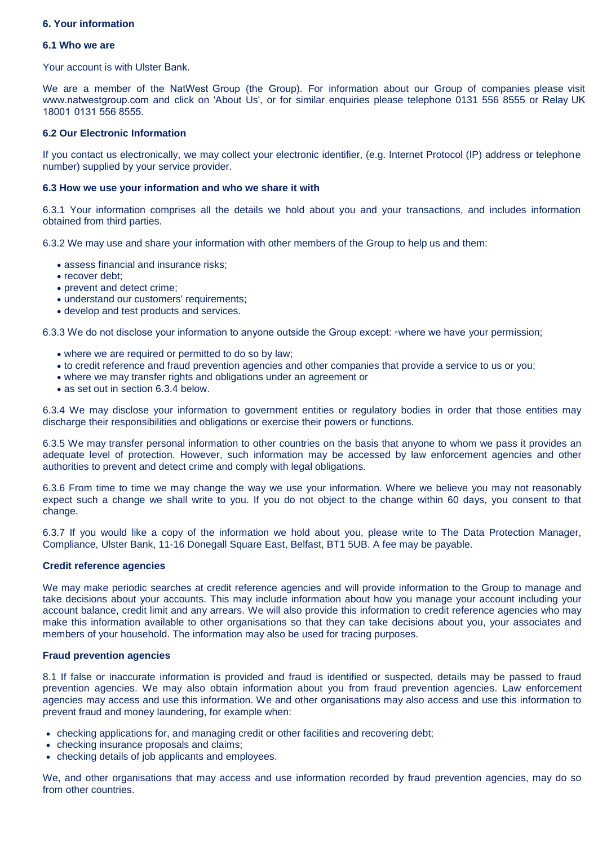# **6. Your information**

#### **6.1 Who we are**

Your account is with Ulster Bank.

We are a member of the NatWest Group (the Group). For information about our Group of companies please visit www.natwestgroup.com and click on 'About Us', or for similar enquiries please telephone 0131 556 8555 or Relay UK 18001 0131 556 8555.

# **6.2 Our Electronic Information**

If you contact us electronically, we may collect your electronic identifier, (e.g. Internet Protocol (IP) address or telephone number) supplied by your service provider.

#### **6.3 How we use your information and who we share it with**

6.3.1 Your information comprises all the details we hold about you and your transactions, and includes information obtained from third parties.

6.3.2 We may use and share your information with other members of the Group to help us and them:

- assess financial and insurance risks;
- recover debt:
- prevent and detect crime;
- understand our customers' requirements;
- develop and test products and services.

6.3.3 We do not disclose your information to anyone outside the Group except: ◦where we have your permission;

- where we are required or permitted to do so by law;
- to credit reference and fraud prevention agencies and other companies that provide a service to us or you;
- where we may transfer rights and obligations under an agreement or
- as set out in section 6.3.4 below.

6.3.4 We may disclose your information to government entities or regulatory bodies in order that those entities may discharge their responsibilities and obligations or exercise their powers or functions.

6.3.5 We may transfer personal information to other countries on the basis that anyone to whom we pass it provides an adequate level of protection. However, such information may be accessed by law enforcement agencies and other authorities to prevent and detect crime and comply with legal obligations.

6.3.6 From time to time we may change the way we use your information. Where we believe you may not reasonably expect such a change we shall write to you. If you do not object to the change within 60 days, you consent to that change.

6.3.7 If you would like a copy of the information we hold about you, please write to The Data Protection Manager, Compliance, Ulster Bank, 11-16 Donegall Square East, Belfast, BT1 5UB. A fee may be payable.

#### **Credit reference agencies**

We may make periodic searches at credit reference agencies and will provide information to the Group to manage and take decisions about your accounts. This may include information about how you manage your account including your account balance, credit limit and any arrears. We will also provide this information to credit reference agencies who may make this information available to other organisations so that they can take decisions about you, your associates and members of your household. The information may also be used for tracing purposes.

# **Fraud prevention agencies**

8.1 If false or inaccurate information is provided and fraud is identified or suspected, details may be passed to fraud prevention agencies. We may also obtain information about you from fraud prevention agencies. Law enforcement agencies may access and use this information. We and other organisations may also access and use this information to prevent fraud and money laundering, for example when:

- checking applications for, and managing credit or other facilities and recovering debt;
- checking insurance proposals and claims;
- checking details of job applicants and employees.

We, and other organisations that may access and use information recorded by fraud prevention agencies, may do so from other countries.